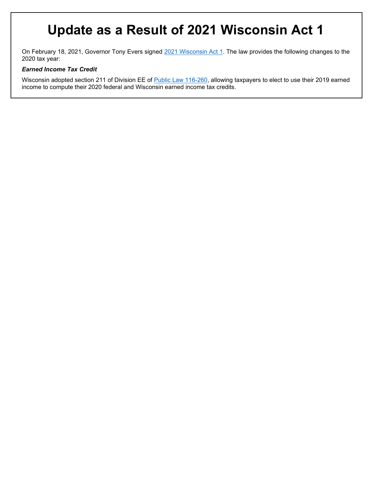## **Update as a Result of 2021 Wisconsin Act 1**

On February 18, 2021, Governor Tony Evers signed [2021 Wisconsin Act 1.](https://docs.legis.wisconsin.gov/2021/related/acts/1.pdf) The law provides the following changes to the 2020 tax year:

#### *Earned Income Tax Credit*

Wisconsin adopted section 211 of Division EE of [Public Law 116-260,](https://legiscan.com/US/text/HB133/id/2223369/US_Congress-2019-HB133-Enrolled.pdf) allowing taxpayers to elect to use their 2019 earned income to compute their 2020 federal and Wisconsin earned income tax credits.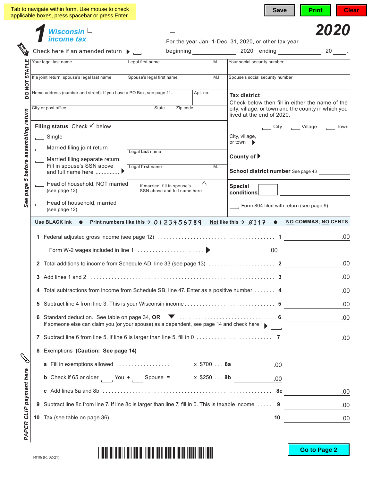|                                     | Tab to navigate within form. Use mouse to check<br>applicable boxes, press spacebar or press Enter.                                                   |                                                                |      | <b>Save</b><br>Print                                                                                                                                                   | <b>Clear</b> |
|-------------------------------------|-------------------------------------------------------------------------------------------------------------------------------------------------------|----------------------------------------------------------------|------|------------------------------------------------------------------------------------------------------------------------------------------------------------------------|--------------|
|                                     | Wisconsin $\mathsf{\mathsf{L}}$<br>income tax                                                                                                         |                                                                |      |                                                                                                                                                                        | 2020         |
|                                     | Check here if an amended return $\blacktriangleright$                                                                                                 |                                                                |      | For the year Jan. 1-Dec. 31, 2020, or other tax year<br>beginning 100 noting 1, 2020 ending 1, 20 minutes and the set of the set of the set of the set of the set of t |              |
|                                     | Your legal last name                                                                                                                                  | Legal first name                                               | M.I. | Your social security number                                                                                                                                            |              |
| <b>STAPLE</b>                       |                                                                                                                                                       |                                                                |      |                                                                                                                                                                        |              |
| <b>DO NOT</b>                       | If a joint return, spouse's legal last name                                                                                                           | Spouse's legal first name                                      | M.I. | Spouse's social security number                                                                                                                                        |              |
|                                     | Home address (number and street). If you have a PO Box, see page 11.                                                                                  | Apt. no.                                                       |      | <b>Tax district</b>                                                                                                                                                    |              |
|                                     | City or post office                                                                                                                                   | <b>State</b><br>Zip code                                       |      | Check below then fill in either the name of the<br>city, village, or town and the county in which you<br>lived at the end of 2020.                                     |              |
|                                     | Filing status Check $\checkmark$ below                                                                                                                |                                                                |      | City ______ Village ______ Town                                                                                                                                        |              |
|                                     | $\Box$ Single                                                                                                                                         |                                                                |      | City, village,                                                                                                                                                         |              |
|                                     | Married filing joint return                                                                                                                           | Legal last name                                                |      | or town<br><u> 1980 - Jan Stein Stein Stein Stein Stein Stein Stein Stein Stein Stein Stein Stein Stein Stein Stein Stein S</u>                                        |              |
|                                     | Married filing separate return.                                                                                                                       |                                                                |      | County of $\blacktriangleright$                                                                                                                                        |              |
|                                     | Fill in spouse's SSN above<br>and full name here  ▶                                                                                                   | Legal first name                                               | M.I. | School district number See page 43                                                                                                                                     |              |
| See page 5 before assembling return | Head of household, NOT married<br>(see page 12).                                                                                                      | If married, fill in spouse's<br>SSN above and full name here I |      | <b>Special</b><br>conditions                                                                                                                                           |              |
|                                     | Head of household, married<br>(see page 12).                                                                                                          |                                                                |      | $\Box$ Form 804 filed with return (see page 9)                                                                                                                         |              |
|                                     | Not like this $\rightarrow \emptyset$ 147 $\bullet$ NO COMMAS; NO CENTS<br>Use BLACK Ink $\bullet$ Print numbers like this $\rightarrow$ 0   23456789 |                                                                |      |                                                                                                                                                                        |              |
|                                     |                                                                                                                                                       |                                                                |      |                                                                                                                                                                        | .00          |
|                                     |                                                                                                                                                       |                                                                |      |                                                                                                                                                                        |              |
|                                     | $\mathbf{2}$                                                                                                                                          |                                                                |      |                                                                                                                                                                        | .00          |
|                                     |                                                                                                                                                       |                                                                |      |                                                                                                                                                                        | .00          |
|                                     | 4 Total subtractions from income from Schedule SB, line 47. Enter as a positive number 4                                                              |                                                                |      |                                                                                                                                                                        | .00          |
|                                     |                                                                                                                                                       |                                                                |      |                                                                                                                                                                        | .00          |
|                                     |                                                                                                                                                       |                                                                |      |                                                                                                                                                                        | .00          |
|                                     | If someone else can claim you (or your spouse) as a dependent, see page 14 and check here                                                             |                                                                |      |                                                                                                                                                                        |              |
|                                     |                                                                                                                                                       |                                                                |      |                                                                                                                                                                        | .00          |
|                                     | 8 Exemptions (Caution: See page 14)                                                                                                                   |                                                                |      |                                                                                                                                                                        |              |
|                                     |                                                                                                                                                       |                                                                |      |                                                                                                                                                                        |              |
|                                     |                                                                                                                                                       |                                                                |      |                                                                                                                                                                        |              |
| PAPER CLIP payment here             |                                                                                                                                                       |                                                                |      |                                                                                                                                                                        | .00          |
|                                     | 9                                                                                                                                                     |                                                                |      | Subtract line 8c from line 7. If line 8c is larger than line 7, fill in 0. This is taxable income  9                                                                   | .00          |
|                                     |                                                                                                                                                       |                                                                |      |                                                                                                                                                                        | .00          |
|                                     |                                                                                                                                                       |                                                                |      |                                                                                                                                                                        |              |

I-010i (R. 02-21)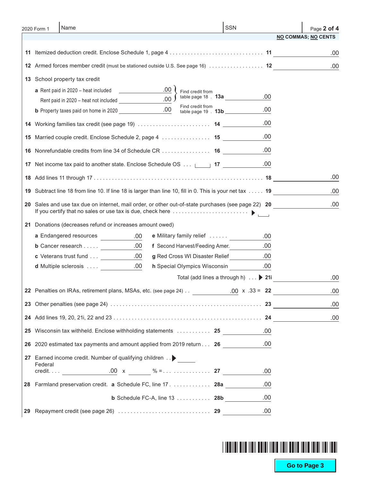| 2020 Form 1 | Name                                                                                                    | SSN                                        | Page 2 of 4                |
|-------------|---------------------------------------------------------------------------------------------------------|--------------------------------------------|----------------------------|
|             |                                                                                                         |                                            | <b>NO COMMAS; NO CENTS</b> |
|             |                                                                                                         |                                            | .00                        |
|             | 12 Armed forces member credit (must be stationed outside U.S. See page 16)  12                          |                                            | .00                        |
|             | 13 School property tax credit                                                                           |                                            |                            |
|             | $\sim$ 00<br>a Rent paid in 2020 – heat included<br>Find credit from                                    |                                            |                            |
|             | table page 18 $\cdot$ <b>13a</b><br>.00 <sub>1</sub>                                                    | .00                                        |                            |
|             | Find credit from<br>table page 19 . <b>13b</b>                                                          | .00                                        |                            |
|             | 14 Working families tax credit (see page 19)  14                                                        | .00                                        |                            |
|             | 15 Married couple credit. Enclose Schedule 2, page 4  15                                                | .00                                        |                            |
|             | <b>16</b> Nonrefundable credits from line 34 of Schedule CR 16                                          | .00                                        |                            |
|             |                                                                                                         | .00                                        |                            |
|             | 17 Net income tax paid to another state. Enclose Schedule OS <u>[16]</u> 17 <u>[16] Alternal</u>        |                                            |                            |
|             |                                                                                                         |                                            | .00                        |
|             | 19 Subtract line 18 from line 10. If line 18 is larger than line 10, fill in 0. This is your net tax 19 |                                            | .00                        |
|             | 20 Sales and use tax due on internet, mail order, or other out-of-state purchases (see page 22) 20      |                                            | .00                        |
|             | 21 Donations (decreases refund or increases amount owed)                                                |                                            |                            |
|             | a Endangered resources<br>e Military family relief<br>.00.                                              | .00                                        |                            |
|             | <b>b</b> Cancer research $\underline{\qquad \qquad \qquad .00}$<br>f Second Harvest/Feeding Amer. 00    |                                            |                            |
|             | <b>c</b> Veterans trust fund 00<br>g Red Cross WI Disaster Relief                                       | .00                                        |                            |
|             | <b>d</b> Multiple sclerosis  ___________ .00<br>h Special Olympics Wisconsin .00                        |                                            |                            |
|             |                                                                                                         | Total (add lines a through h) $\ldots$ 21i | .00                        |
|             | 22 Penalties on IRAs, retirement plans, MSAs, etc. (see page 24)                                        | $.00 \times .33 = 22$                      | .00                        |
|             |                                                                                                         |                                            | .00                        |
|             |                                                                                                         |                                            | .00                        |
|             | 25 Wisconsin tax withheld. Enclose withholding statements  25                                           | .00                                        |                            |
|             | 26 2020 estimated tax payments and amount applied from 2019 return 26                                   | .00                                        |                            |
|             | 27 Earned income credit. Number of qualifying children >                                                |                                            |                            |
| Federal     |                                                                                                         |                                            |                            |
|             |                                                                                                         | .00                                        |                            |
|             | 28 Farmland preservation credit. a Schedule FC, line 17. 28a                                            | .00                                        |                            |
|             | <b>b</b> Schedule FC-A, line $13$ 28b                                                                   | .00                                        |                            |
|             |                                                                                                         | .00                                        |                            |

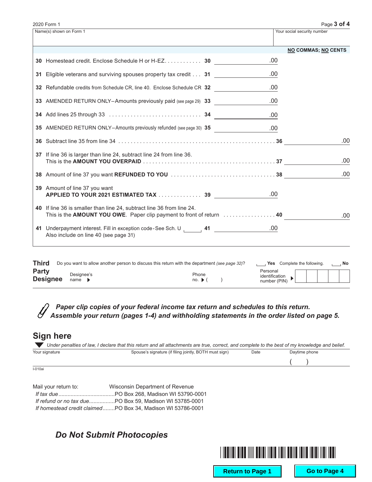| Name(s) shown on Form 1               |                                                                                                                                                                                |                                                                   | Your social security number                                                                                                                                                                                                                                                                                                                                                                                                                                             |
|---------------------------------------|--------------------------------------------------------------------------------------------------------------------------------------------------------------------------------|-------------------------------------------------------------------|-------------------------------------------------------------------------------------------------------------------------------------------------------------------------------------------------------------------------------------------------------------------------------------------------------------------------------------------------------------------------------------------------------------------------------------------------------------------------|
|                                       |                                                                                                                                                                                |                                                                   | <b>NO COMMAS; NO CENTS</b>                                                                                                                                                                                                                                                                                                                                                                                                                                              |
|                                       |                                                                                                                                                                                | .00                                                               |                                                                                                                                                                                                                                                                                                                                                                                                                                                                         |
|                                       |                                                                                                                                                                                | .00                                                               |                                                                                                                                                                                                                                                                                                                                                                                                                                                                         |
|                                       |                                                                                                                                                                                | .00                                                               |                                                                                                                                                                                                                                                                                                                                                                                                                                                                         |
|                                       |                                                                                                                                                                                | .00                                                               |                                                                                                                                                                                                                                                                                                                                                                                                                                                                         |
|                                       |                                                                                                                                                                                | .00                                                               |                                                                                                                                                                                                                                                                                                                                                                                                                                                                         |
|                                       |                                                                                                                                                                                |                                                                   |                                                                                                                                                                                                                                                                                                                                                                                                                                                                         |
|                                       |                                                                                                                                                                                |                                                                   | .00                                                                                                                                                                                                                                                                                                                                                                                                                                                                     |
|                                       |                                                                                                                                                                                |                                                                   | .00                                                                                                                                                                                                                                                                                                                                                                                                                                                                     |
|                                       |                                                                                                                                                                                |                                                                   | .00                                                                                                                                                                                                                                                                                                                                                                                                                                                                     |
|                                       |                                                                                                                                                                                | .00                                                               |                                                                                                                                                                                                                                                                                                                                                                                                                                                                         |
|                                       |                                                                                                                                                                                |                                                                   | .00                                                                                                                                                                                                                                                                                                                                                                                                                                                                     |
| Also include on line 40 (see page 31) |                                                                                                                                                                                |                                                                   |                                                                                                                                                                                                                                                                                                                                                                                                                                                                         |
|                                       | 37 If line 36 is larger than line 24, subtract line 24 from line 36.<br>39 Amount of line 37 you want<br>40 If line 36 is smaller than line 24, subtract line 36 from line 24. | 31 Eligible veterans and surviving spouses property tax credit 31 | 30 Homestead credit. Enclose Schedule H or H-EZ. 30<br>32 Refundable credits from Schedule CR, line 40. Enclose Schedule CR 32<br>33 AMENDED RETURN ONLY-Amounts previously paid (see page 29) 33<br>35 AMENDED RETURN ONLY-Amounts previously refunded (see page 30) 35<br>APPLIED TO YOUR 2021 ESTIMATED TAX  39<br>This is the AMOUNT YOU OWE. Paper clip payment to front of return  40<br>41 Underpayment interest. Fill in exception code-See Sch. U 141 1 200 00 |

#### *Paper clip copies of your federal income tax return and schedules to this return.* Y *Assemble your return (pages 1-4) and withholding statements in the order listed on page 5.*

### **Sign here**

|                | Under penalties of law, I declare that this return and all attachments are true, correct, and complete to the best of my knowledge and belief. |      |               |  |
|----------------|------------------------------------------------------------------------------------------------------------------------------------------------|------|---------------|--|
| Your signature | Spouse's signature (if filing jointly, BOTH must sign)                                                                                         | Date | Daytime phone |  |
|                |                                                                                                                                                |      |               |  |

I-010ai

| Mail your return to: | Wisconsin Department of Revenue                             |
|----------------------|-------------------------------------------------------------|
|                      |                                                             |
|                      |                                                             |
|                      | If homestead credit claimedPO Box 34. Madison WI 53786-0001 |

## *Do Not Submit Photocopies*



**Return to Page 1 | Go to Page 4**